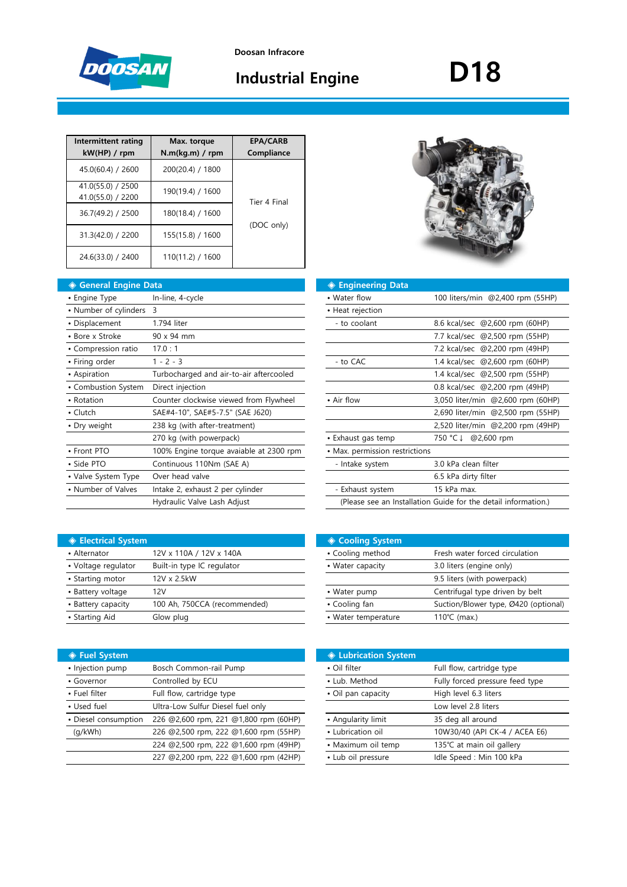

## **Industrial Engine**

# **D18**

| Intermittent rating<br>kW(HP) / rpm    | Max. torque<br>N.m(kg.m) / rpm | <b>EPA/CARB</b><br>Compliance |
|----------------------------------------|--------------------------------|-------------------------------|
| 45.0(60.4) / 2600                      | 200(20.4) / 1800               |                               |
| 41.0(55.0) / 2500<br>41.0(55.0) / 2200 | 190(19.4) / 1600               | Tier 4 Final                  |
| 36.7(49.2) / 2500                      | 180(18.4) / 1600               |                               |
| 31.3(42.0) / 2200                      | 155(15.8) / 1600               | (DOC only)                    |
| 24.6(33.0) / 2400                      | 110(11.2) / 1600               |                               |

| ◆ General Engine Data   |                                         | ◈ Engineering Data             |                                                                |
|-------------------------|-----------------------------------------|--------------------------------|----------------------------------------------------------------|
| • Engine Type           | In-line, 4-cycle                        | • Water flow                   | 100 liters/min @2,400 rpm (55HP)                               |
| • Number of cylinders 3 |                                         | • Heat rejection               |                                                                |
| • Displacement          | 1.794 liter                             | - to coolant                   | 8.6 kcal/sec @2,600 rpm (60HP)                                 |
| • Bore x Stroke         | 90 x 94 mm                              |                                | 7.7 kcal/sec @2,500 rpm (55HP)                                 |
| • Compression ratio     | 17.0:1                                  |                                | 7.2 kcal/sec @2,200 rpm (49HP)                                 |
| • Firing order          | $1 - 2 - 3$                             | - to CAC                       | 1.4 kcal/sec @2,600 rpm (60HP)                                 |
| • Aspiration            | Turbocharged and air-to-air aftercooled |                                | 1.4 kcal/sec @2,500 rpm (55HP)                                 |
| • Combustion System     | Direct injection                        |                                | 0.8 kcal/sec @2,200 rpm (49HP)                                 |
| • Rotation              | Counter clockwise viewed from Flywheel  | • Air flow                     | 3,050 liter/min @2,600 rpm (60HP)                              |
| • Clutch                | SAE#4-10", SAE#5-7.5" (SAE J620)        |                                | 2,690 liter/min @2,500 rpm (55HP)                              |
| • Dry weight            | 238 kg (with after-treatment)           |                                | 2,520 liter/min @2,200 rpm (49HP)                              |
|                         | 270 kg (with powerpack)                 | • Exhaust gas temp             | 750 °C ↓ @2,600 rpm                                            |
| • Front PTO             | 100% Engine torque avaiable at 2300 rpm | • Max. permission restrictions |                                                                |
| • Side PTO              | Continuous 110Nm (SAE A)                | - Intake system                | 3.0 kPa clean filter                                           |
| • Valve System Type     | Over head valve                         |                                | 6.5 kPa dirty filter                                           |
| • Number of Valves      | Intake 2, exhaust 2 per cylinder        | - Exhaust system               | 15 kPa max.                                                    |
|                         | Hydraulic Valve Lash Adjust             |                                | (Please see an Installation Guide for the detail information.) |
|                         |                                         |                                |                                                                |

|--|

| ıta                                     | ◈ Engineering Data             |                                                                |
|-----------------------------------------|--------------------------------|----------------------------------------------------------------|
| In-line, 4-cycle                        | • Water flow                   | 100 liters/min @2,400 rpm (55HP)                               |
| 3                                       | • Heat rejection               |                                                                |
| 1.794 liter                             | - to coolant                   | 8.6 kcal/sec @2,600 rpm (60HP)                                 |
| 90 x 94 mm                              |                                | 7.7 kcal/sec @2,500 rpm (55HP)                                 |
| 17.0:1                                  |                                | 7.2 kcal/sec @2,200 rpm (49HP)                                 |
| $1 - 2 - 3$                             | - to CAC                       | 1.4 kcal/sec @2,600 rpm (60HP)                                 |
| Turbocharged and air-to-air aftercooled |                                | 1.4 kcal/sec @2,500 rpm (55HP)                                 |
| Direct injection                        |                                | 0.8 kcal/sec @2,200 rpm (49HP)                                 |
| Counter clockwise viewed from Flywheel  | • Air flow                     | 3,050 liter/min @2,600 rpm (60HP)                              |
| SAE#4-10", SAE#5-7.5" (SAE J620)        |                                | 2,690 liter/min @2,500 rpm (55HP)                              |
| 238 kg (with after-treatment)           |                                | 2,520 liter/min @2,200 rpm (49HP)                              |
| 270 kg (with powerpack)                 | • Exhaust gas temp             | 750 °C ↓ @2,600 rpm                                            |
| 100% Engine torque avaiable at 2300 rpm | • Max. permission restrictions |                                                                |
| Continuous 110Nm (SAE A)                | - Intake system                | 3.0 kPa clean filter                                           |
| Over head valve                         |                                | 6.5 kPa dirty filter                                           |
| Intake 2, exhaust 2 per cylinder        | - Exhaust system               | 15 kPa max.                                                    |
| Hydraulic Valve Lash Adjust             |                                | (Please see an Installation Guide for the detail information.) |
|                                         |                                |                                                                |

| <b>♦ Electrical System</b> |                              | <b>♦ Cooling System</b> |                                 |
|----------------------------|------------------------------|-------------------------|---------------------------------|
| • Alternator               | 12V x 110A / 12V x 140A      | • Cooling method        | Fresh water forced circulation  |
| • Voltage regulator        | Built-in type IC regulator   | • Water capacity        | 3.0 liters (engine only)        |
| • Starting motor           | 12V x 2.5kW                  |                         | 9.5 liters (with powerpack)     |
| • Battery voltage          | 12V                          | • Water pump            | Centrifugal type driven by belt |
| • Battery capacity         | 100 Ah, 750CCA (recommended) | • Cooling fan           | Suction/Blower type, Ø420 (op   |
| • Starting Aid             | Glow plug                    | • Water temperature     | 110 $°C$ (max.)                 |

| ◈ Fuel System        |                                       | ♦ Lubrication System |                                 |
|----------------------|---------------------------------------|----------------------|---------------------------------|
| • Injection pump     | Bosch Common-rail Pump                | • Oil filter         | Full flow, cartridge type       |
| • Governor           | Controlled by ECU                     | • Lub. Method        | Fully forced pressure feed type |
| • Fuel filter        | Full flow, cartridge type             | • Oil pan capacity   | High level 6.3 liters           |
| • Used fuel          | Ultra-Low Sulfur Diesel fuel only     |                      | Low level 2.8 liters            |
| • Diesel consumption | 226 @2,600 rpm, 221 @1,800 rpm (60HP) | • Angularity limit   | 35 deg all around               |
| (q/kWh)              | 226 @2,500 rpm, 222 @1,600 rpm (55HP) | • Lubrication oil    | 10W30/40 (API CK-4 / ACEA E6)   |
|                      | 224 @2,500 rpm, 222 @1,600 rpm (49HP) | • Maximum oil temp   | 135℃ at main oil gallery        |
|                      | 227 @2,200 rpm, 222 @1,600 rpm (42HP) | • Lub oil pressure   | Idle Speed: Min 100 kPa         |
|                      |                                       |                      |                                 |

| <b>Electrical System</b> |                              | <b>♦ Cooling System</b> |                                      |
|--------------------------|------------------------------|-------------------------|--------------------------------------|
| • Alternator             | 12V x 110A / 12V x 140A      | • Cooling method        | Fresh water forced circulation       |
| • Voltage regulator      | Built-in type IC regulator   | • Water capacity        | 3.0 liters (engine only)             |
| • Starting motor         | 12V x 2.5kW                  |                         | 9.5 liters (with powerpack)          |
| • Battery voltage        | 12V                          | • Water pump            | Centrifugal type driven by belt      |
| • Battery capacity       | 100 Ah, 750CCA (recommended) | • Cooling fan           | Suction/Blower type, Ø420 (optional) |
| • Starting Aid           | Glow plug                    | • Water temperature     | 110 $°C$ (max.)                      |
|                          |                              |                         |                                      |

|                                       | <b>♦ Lubrication System</b> |                                 |
|---------------------------------------|-----------------------------|---------------------------------|
| Bosch Common-rail Pump                | • Oil filter                | Full flow, cartridge type       |
| Controlled by ECU                     | • Lub. Method               | Fully forced pressure feed type |
| Full flow, cartridge type             | • Oil pan capacity          | High level 6.3 liters           |
| Ultra-Low Sulfur Diesel fuel only     |                             | Low level 2.8 liters            |
| 226 @2,600 rpm, 221 @1,800 rpm (60HP) | • Angularity limit          | 35 deg all around               |
| 226 @2,500 rpm, 222 @1,600 rpm (55HP) | • Lubrication oil           | 10W30/40 (API CK-4 / ACEA E6)   |
| 224 @2,500 rpm, 222 @1,600 rpm (49HP) | • Maximum oil temp          | 135℃ at main oil gallery        |
| 227 @2,200 rpm, 222 @1,600 rpm (42HP) | • Lub oil pressure          | Idle Speed : Min 100 kPa        |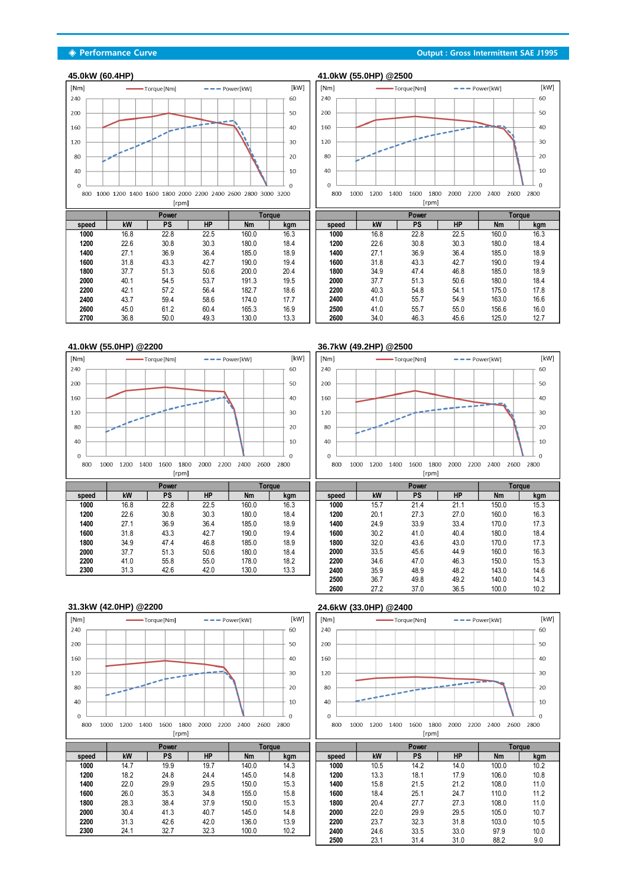

|       |      | Power     |           | Torque    |      |
|-------|------|-----------|-----------|-----------|------|
| speed | kW   | <b>PS</b> | <b>HP</b> | <b>Nm</b> | kgm  |
| 1000  | 16.8 | 22.8      | 22.5      | 160.0     | 16.3 |
| 1200  | 22.6 | 30.8      | 30.3      | 180.0     | 18.4 |
| 1400  | 27.1 | 36.9      | 36.4      | 185.0     | 18.9 |
| 1600  | 31.8 | 43.3      | 42.7      | 190.0     | 19.4 |
| 1800  | 37.7 | 51.3      | 50.6      | 200.0     | 20.4 |
| 2000  | 40.1 | 54.5      | 53.7      | 191.3     | 19.5 |
| 2200  | 42.1 | 57.2      | 56.4      | 182.7     | 18.6 |
| 2400  | 43.7 | 59.4      | 58.6      | 174.0     | 17.7 |
| 2600  | 45.0 | 61.2      | 60.4      | 165.3     | 16.9 |
| 2700  | 36.8 | 50.0      | 49.3      | 130.0     | 13.3 |



| <b>Torque</b> |      |       |      | Power     |           |           | <b>Torque</b> |
|---------------|------|-------|------|-----------|-----------|-----------|---------------|
|               | kgm  | speed | kW   | <b>PS</b> | <b>HP</b> | <b>Nm</b> | kgm           |
|               | 16.3 | 1000  | 16.8 | 22.8      | 22.5      | 160.0     | 16.3          |
|               | 18.4 | 1200  | 22.6 | 30.8      | 30.3      | 180.0     | 18.4          |
|               | 18.9 | 1400  | 27.1 | 36.9      | 36.4      | 185.0     | 18.9          |
|               | 19.4 | 1600  | 31.8 | 43.3      | 42.7      | 190.0     | 19.4          |
|               | 20.4 | 1800  | 34.9 | 47.4      | 46.8      | 185.0     | 18.9          |
|               | 19.5 | 2000  | 37.7 | 51.3      | 50.6      | 180.0     | 18.4          |
|               | 18.6 | 2200  | 40.3 | 54.8      | 54.1      | 175.0     | 17.8          |
|               | 17.7 | 2400  | 41.0 | 55.7      | 54.9      | 163.0     | 16.6          |
|               | 16.9 | 2500  | 41.0 | 55.7      | 55.0      | 156.6     | 16.0          |
|               | 13.3 | 2600  | 34.0 | 46.3      | 45.6      | 125.0     | 12.7          |



### **41.0kW (55.0HP) @2200 36.7kW (49.2HP) @2500**



| ----- | ---- |      | ---- | .     |      |
|-------|------|------|------|-------|------|
| 1000  | 15.7 | 21.4 | 21.1 | 150.0 | 15.3 |
| 1200  | 20.1 | 27.3 | 27.0 | 160.0 | 16.3 |
| 1400  | 24.9 | 33.9 | 33.4 | 170.0 | 17.3 |
| 1600  | 30.2 | 41.0 | 40.4 | 180.0 | 18.4 |
| 1800  | 32.0 | 43.6 | 43.0 | 170.0 | 17.3 |
| 2000  | 33.5 | 45.6 | 44.9 | 160.0 | 16.3 |
| 2200  | 34.6 | 47.0 | 46.3 | 150.0 | 15.3 |
| 2400  | 35.9 | 48.9 | 48.2 | 143.0 | 14.6 |
| 2500  | 36.7 | 49.8 | 49.2 | 140.0 | 14.3 |
| 2600  | 27.2 | 37.0 | 36.5 | 100.0 | 10.2 |

## **31.3kW (42.0HP) @2200 24.6kW (33.0HP) @2400**





|       |      | $\sim$ |           |           | <u>i viyuv</u> |
|-------|------|--------|-----------|-----------|----------------|
| speed | kW   | PS     | <b>HP</b> | <b>Nm</b> | kgm            |
| 1000  | 10.5 | 14.2   | 14.0      | 100.0     | 10.2           |
| 1200  | 13.3 | 18.1   | 17.9      | 106.0     | 10.8           |
| 1400  | 15.8 | 21.5   | 21.2      | 108.0     | 11.0           |
| 1600  | 18.4 | 25.1   | 24.7      | 110.0     | 11.2           |
| 1800  | 20.4 | 27.7   | 27.3      | 108.0     | 11.0           |
| 2000  | 22.0 | 29.9   | 29.5      | 105.0     | 10.7           |
| 2200  | 23.7 | 32.3   | 31.8      | 103.0     | 10.5           |
| 2400  | 24.6 | 33.5   | 33.0      | 97.9      | 10.0           |
| 2500  | 23.1 | 31.4   | 31.0      | 88.2      | 9.0            |

#### **◈ Performance Curve Output : Gross Intermittent SAE J1995**